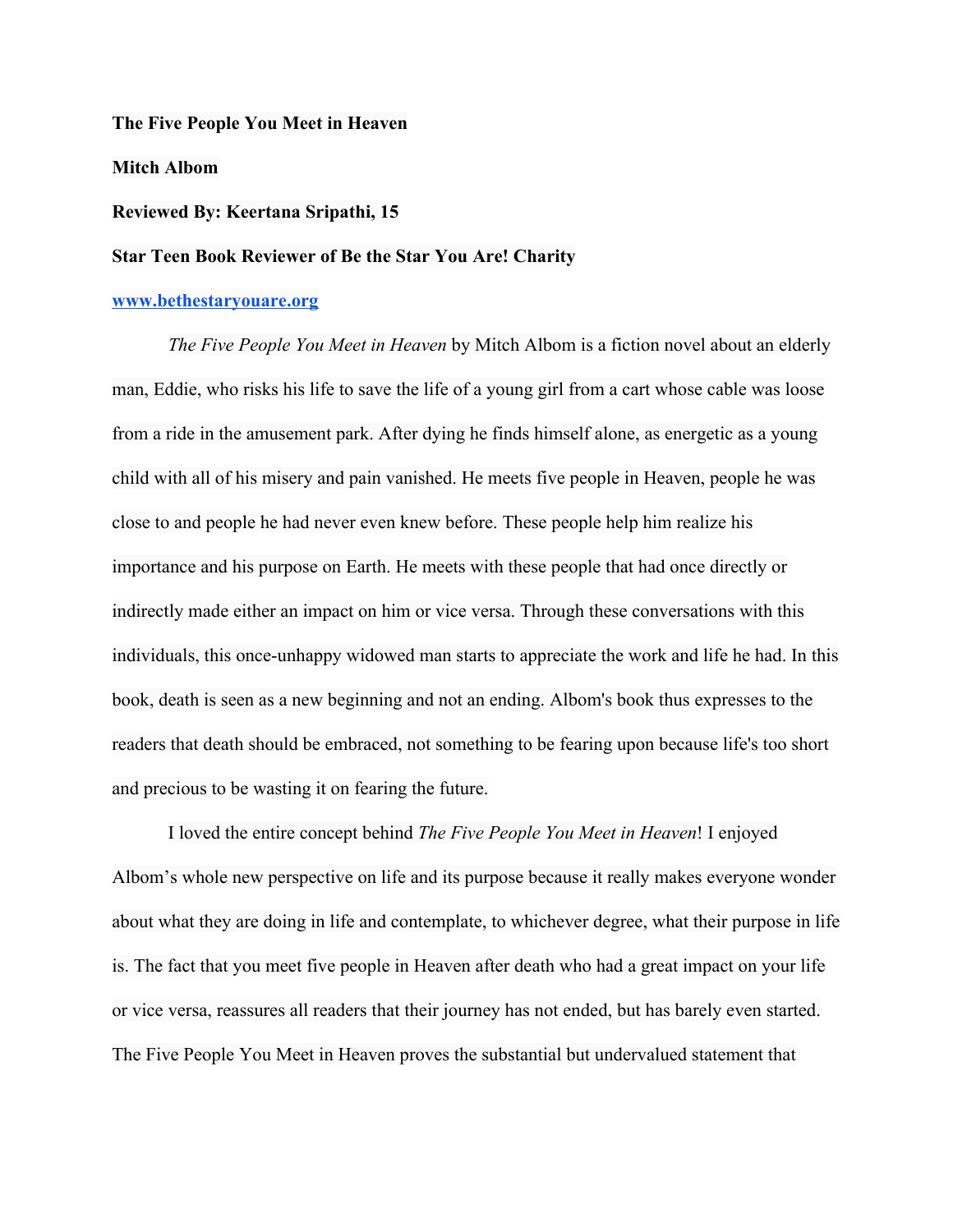#### **The Five People You Meet in Heaven**

### **Mitch Albom**

## **Reviewed By: Keertana Sripathi, 15**

# **Star Teen Book Reviewer of Be the Star You Are! Charity**

### **[www.bethestaryouare.org](http://www.bethestaryouare.org/)**

*The Five People You Meet in Heaven* by Mitch Albom is a fiction novel about an elderly man, Eddie, who risks his life to save the life of a young girl from a cart whose cable was loose from a ride in the amusement park. After dying he finds himself alone, as energetic as a young child with all of his misery and pain vanished. He meets five people in Heaven, people he was close to and people he had never even knew before. These people help him realize his importance and his purpose on Earth. He meets with these people that had once directly or indirectly made either an impact on him or vice versa. Through these conversations with this individuals, this once-unhappy widowed man starts to appreciate the work and life he had. In this book, death is seen as a new beginning and not an ending. Albom's book thus expresses to the readers that death should be embraced, not something to be fearing upon because life's too short and precious to be wasting it on fearing the future.

I loved the entire concept behind *The Five People You Meet in Heaven*! I enjoyed Albom's whole new perspective on life and its purpose because it really makes everyone wonder about what they are doing in life and contemplate, to whichever degree, what their purpose in life is. The fact that you meet five people in Heaven after death who had a great impact on your life or vice versa, reassures all readers that their journey has not ended, but has barely even started. The Five People You Meet in Heaven proves the substantial but undervalued statement that